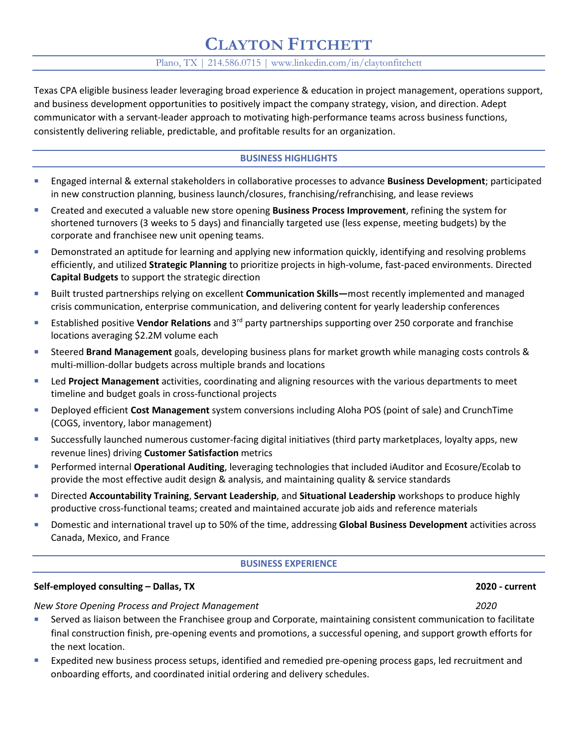# **CLAYTON FITCHETT**

## Plano, TX | 214.586.0715 | www.linkedin.com/in/claytonfitchett

Texas CPA eligible business leader leveraging broad experience & education in project management, operations support, and business development opportunities to positively impact the company strategy, vision, and direction. Adept communicator with a servant-leader approach to motivating high-performance teams across business functions, consistently delivering reliable, predictable, and profitable results for an organization.

# **BUSINESS HIGHLIGHTS**

- Engaged internal & external stakeholders in collaborative processes to advance **Business Development**; participated in new construction planning, business launch/closures, franchising/refranchising, and lease reviews
- Created and executed a valuable new store opening **Business Process Improvement**, refining the system for shortened turnovers (3 weeks to 5 days) and financially targeted use (less expense, meeting budgets) by the corporate and franchisee new unit opening teams.
- Demonstrated an aptitude for learning and applying new information quickly, identifying and resolving problems efficiently, and utilized **Strategic Planning** to prioritize projects in high-volume, fast-paced environments. Directed **Capital Budgets** to support the strategic direction
- Built trusted partnerships relying on excellent **Communication Skills—**most recently implemented and managed crisis communication, enterprise communication, and delivering content for yearly leadership conferences
- Established positive **Vendor Relations** and 3rd party partnerships supporting over 250 corporate and franchise locations averaging \$2.2M volume each
- Steered **Brand Management** goals, developing business plans for market growth while managing costs controls & multi-million-dollar budgets across multiple brands and locations
- Led **Project Management** activities, coordinating and aligning resources with the various departments to meet timeline and budget goals in cross-functional projects
- Deployed efficient **Cost Management** system conversions including Aloha POS (point of sale) and CrunchTime (COGS, inventory, labor management)
- Successfully launched numerous customer-facing digital initiatives (third party marketplaces, loyalty apps, new revenue lines) driving **Customer Satisfaction** metrics
- Performed internal **Operational Auditing**, leveraging technologies that included iAuditor and Ecosure/Ecolab to provide the most effective audit design & analysis, and maintaining quality & service standards
- Directed **Accountability Training**, **Servant Leadership**, and **Situational Leadership** workshops to produce highly productive cross-functional teams; created and maintained accurate job aids and reference materials
- Domestic and international travel up to 50% of the time, addressing **Global Business Development** activities across Canada, Mexico, and France

#### **BUSINESS EXPERIENCE**

### **Self-employed consulting – Dallas, TX 2020 - current**

*New Store Opening Process and Project Management 2020*

- Served as liaison between the Franchisee group and Corporate, maintaining consistent communication to facilitate final construction finish, pre-opening events and promotions, a successful opening, and support growth efforts for the next location.
- Expedited new business process setups, identified and remedied pre-opening process gaps, led recruitment and onboarding efforts, and coordinated initial ordering and delivery schedules.